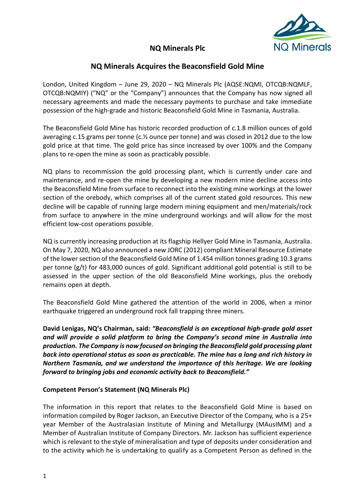

# **NQ Minerals Plc**

# **NQ Minerals Acquires the Beaconsfield Gold Mine**

London, United Kingdom – June 29, 2020 – NQ Minerals Plc (AQSE:NQMI, OTCQB:NQMLF, OTCQB:NQMIY) ("NQ" or the "Company") announces that the Company has now signed all necessary agreements and made the necessary payments to purchase and take immediate possession of the high-grade and historic Beaconsfield Gold Mine in Tasmania, Australia.

The Beaconsfield Gold Mine has historic recorded production of c.1.8 million ounces of gold averaging c.15 grams per tonne (c.½ ounce per tonne) and was closed in 2012 due to the low gold price at that time. The gold price has since increased by over 100% and the Company plans to re-open the mine as soon as practicably possible.

NQ plans to recommission the gold processing plant, which is currently under care and maintenance, and re-open the mine by developing a new modern mine decline access into the Beaconsfield Mine from surface to reconnect into the existing mine workings at the lower section of the orebody, which comprises all of the current stated gold resources. This new decline will be capable of running large modern mining equipment and men/materials/rock from surface to anywhere in the mine underground workings and will allow for the most efficient low-cost operations possible.

NQ is currently increasing production at its flagship Hellyer Gold Mine in Tasmania, Australia. On May 7, 2020, NQ also announced a new JORC (2012) compliant Mineral Resource Estimate of the lower section of the Beaconsfield Gold Mine of 1.454 million tonnes grading 10.3 grams per tonne (g/t) for 483,000 ounces of gold. Significant additional gold potential is still to be assessed in the upper section of the old Beaconsfield Mine workings, plus the orebody remains open at depth.

The Beaconsfield Gold Mine gathered the attention of the world in 2006, when a minor earthquake triggered an underground rock fall trapping three miners.

**David Lenigas, NQ's Chairman, said:** *"Beaconsfield is an exceptional high-grade gold asset and will provide a solid platform to bring the Company's second mine in Australia into production. The Company is now focused on bringing the Beaconsfield gold processing plant back into operational status as soon as practicable. The mine has a long and rich history in Northern Tasmania, and we understand the importance of this heritage. We are looking forward to bringing jobs and economic activity back to Beaconsfield."*

### **Competent Person's Statement (NQ Minerals Plc)**

The information in this report that relates to the Beaconsfield Gold Mine is based on information compiled by Roger Jackson, an Executive Director of the Company, who is a 25+ year Member of the Australasian Institute of Mining and Metallurgy (MAusIMM) and a Member of Australian Institute of Company Directors. Mr. Jackson has sufficient experience which is relevant to the style of mineralisation and type of deposits under consideration and to the activity which he is undertaking to qualify as a Competent Person as defined in the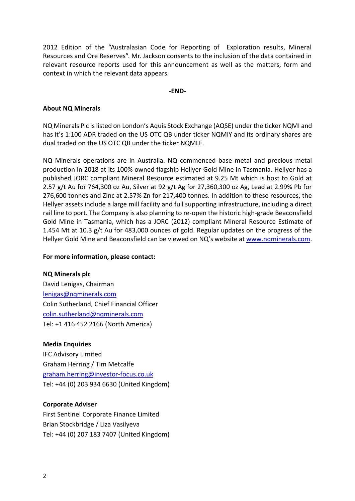2012 Edition of the "Australasian Code for Reporting of Exploration results, Mineral Resources and Ore Reserves". Mr. Jackson consents to the inclusion of the data contained in relevant resource reports used for this announcement as well as the matters, form and context in which the relevant data appears.

#### **-END-**

### **About NQ Minerals**

NQ Minerals Plc is listed on London's Aquis Stock Exchange (AQSE) under the ticker NQMI and has it's 1:100 ADR traded on the US OTC QB under ticker NQMIY and its ordinary shares are dual traded on the US OTC QB under the ticker NQMLF.

NQ Minerals operations are in Australia. NQ commenced base metal and precious metal production in 2018 at its 100% owned flagship Hellyer Gold Mine in Tasmania. Hellyer has a published JORC compliant Mineral Resource estimated at 9.25 Mt which is host to Gold at 2.57 g/t Au for 764,300 oz Au, Silver at 92 g/t Ag for 27,360,300 oz Ag, Lead at 2.99% Pb for 276,600 tonnes and Zinc at 2.57% Zn for 217,400 tonnes. In addition to these resources, the Hellyer assets include a large mill facility and full supporting infrastructure, including a direct rail line to port. The Company is also planning to re-open the historic high-grade Beaconsfield Gold Mine in Tasmania, which has a JORC (2012) compliant Mineral Resource Estimate of 1.454 Mt at 10.3 g/t Au for 483,000 ounces of gold. Regular updates on the progress of the Hellyer Gold Mine and Beaconsfield can be viewed on NQ's website at [www.nqminerals.com.](http://www.nqminerals.com/)

#### **For more information, please contact:**

# **NQ Minerals plc**

David Lenigas, Chairman [lenigas@nqminerals.com](mailto:lenigas@nqminerals.com) Colin Sutherland, Chief Financial Officer [colin.sutherland@nqminerals.com](mailto:colin.sutherland@nqminerals.com) Tel: +1 416 452 2166 (North America)

### **Media Enquiries**

IFC Advisory Limited Graham Herring / Tim Metcalfe [graham.herring@investor-focus.co.uk](mailto:graham.herring@investor-focus.co.uk) Tel: +44 (0) 203 934 6630 (United Kingdom)

#### **Corporate Adviser**

First Sentinel Corporate Finance Limited Brian Stockbridge / Liza Vasilyeva Tel: +44 (0) 207 183 7407 (United Kingdom)